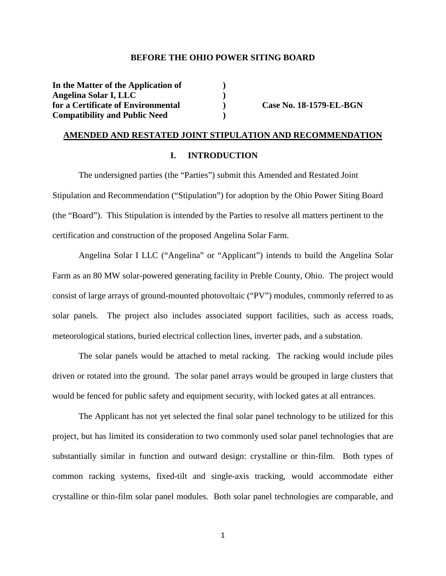### **BEFORE THE OHIO POWER SITING BOARD**

**In the Matter of the Application of ) Angelina Solar I, LLC )**  for a Certificate of Environmental **Case No. 18-1579-EL-BGN Compatibility and Public Need )** 

### **AMENDED AND RESTATED JOINT STIPULATION AND RECOMMENDATION**

### **I. INTRODUCTION**

The undersigned parties (the "Parties") submit this Amended and Restated Joint Stipulation and Recommendation ("Stipulation") for adoption by the Ohio Power Siting Board (the "Board"). This Stipulation is intended by the Parties to resolve all matters pertinent to the certification and construction of the proposed Angelina Solar Farm.

Angelina Solar I LLC ("Angelina" or "Applicant") intends to build the Angelina Solar Farm as an 80 MW solar-powered generating facility in Preble County, Ohio. The project would consist of large arrays of ground-mounted photovoltaic ("PV") modules, commonly referred to as solar panels. The project also includes associated support facilities, such as access roads, meteorological stations, buried electrical collection lines, inverter pads, and a substation.

The solar panels would be attached to metal racking. The racking would include piles driven or rotated into the ground. The solar panel arrays would be grouped in large clusters that would be fenced for public safety and equipment security, with locked gates at all entrances.

The Applicant has not yet selected the final solar panel technology to be utilized for this project, but has limited its consideration to two commonly used solar panel technologies that are substantially similar in function and outward design: crystalline or thin-film. Both types of common racking systems, fixed-tilt and single-axis tracking, would accommodate either crystalline or thin-film solar panel modules. Both solar panel technologies are comparable, and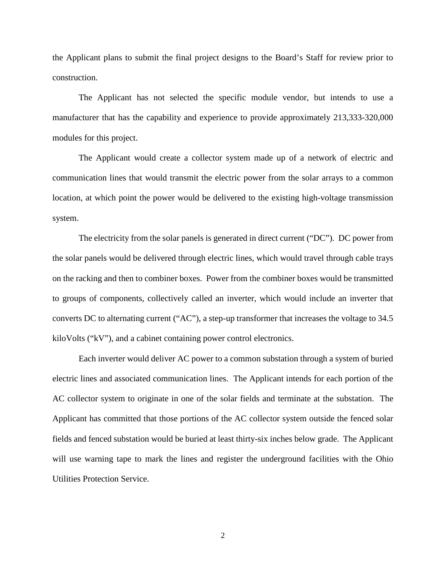the Applicant plans to submit the final project designs to the Board's Staff for review prior to construction.

The Applicant has not selected the specific module vendor, but intends to use a manufacturer that has the capability and experience to provide approximately 213,333-320,000 modules for this project.

The Applicant would create a collector system made up of a network of electric and communication lines that would transmit the electric power from the solar arrays to a common location, at which point the power would be delivered to the existing high-voltage transmission system.

The electricity from the solar panels is generated in direct current ("DC"). DC power from the solar panels would be delivered through electric lines, which would travel through cable trays on the racking and then to combiner boxes. Power from the combiner boxes would be transmitted to groups of components, collectively called an inverter, which would include an inverter that converts DC to alternating current ("AC"), a step-up transformer that increases the voltage to 34.5 kiloVolts ("kV"), and a cabinet containing power control electronics.

Each inverter would deliver AC power to a common substation through a system of buried electric lines and associated communication lines. The Applicant intends for each portion of the AC collector system to originate in one of the solar fields and terminate at the substation. The Applicant has committed that those portions of the AC collector system outside the fenced solar fields and fenced substation would be buried at least thirty-six inches below grade. The Applicant will use warning tape to mark the lines and register the underground facilities with the Ohio Utilities Protection Service.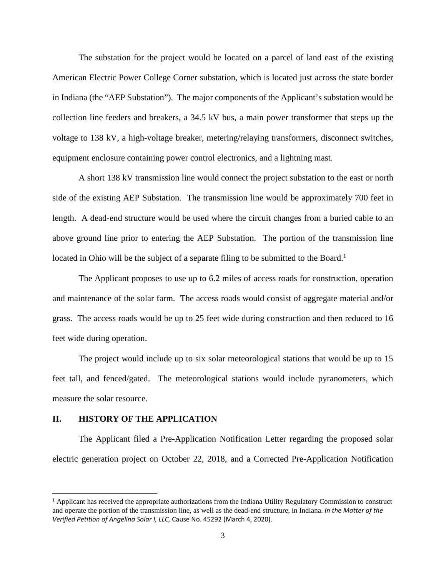The substation for the project would be located on a parcel of land east of the existing American Electric Power College Corner substation, which is located just across the state border in Indiana (the "AEP Substation"). The major components of the Applicant's substation would be collection line feeders and breakers, a 34.5 kV bus, a main power transformer that steps up the voltage to 138 kV, a high-voltage breaker, metering/relaying transformers, disconnect switches, equipment enclosure containing power control electronics, and a lightning mast.

A short 138 kV transmission line would connect the project substation to the east or north side of the existing AEP Substation. The transmission line would be approximately 700 feet in length. A dead-end structure would be used where the circuit changes from a buried cable to an above ground line prior to entering the AEP Substation. The portion of the transmission line located in Ohio will be the subject of a separate filing to be submitted to the Board.<sup>1</sup>

The Applicant proposes to use up to 6.2 miles of access roads for construction, operation and maintenance of the solar farm. The access roads would consist of aggregate material and/or grass. The access roads would be up to 25 feet wide during construction and then reduced to 16 feet wide during operation.

The project would include up to six solar meteorological stations that would be up to 15 feet tall, and fenced/gated. The meteorological stations would include pyranometers, which measure the solar resource.

### **II. HISTORY OF THE APPLICATION**

The Applicant filed a Pre-Application Notification Letter regarding the proposed solar electric generation project on October 22, 2018, and a Corrected Pre-Application Notification

<sup>&</sup>lt;sup>1</sup> Applicant has received the appropriate authorizations from the Indiana Utility Regulatory Commission to construct and operate the portion of the transmission line, as well as the dead-end structure, in Indiana. *In the Matter of the Verified Petition of Angelina Solar I, LLC,* Cause No. 45292 (March 4, 2020).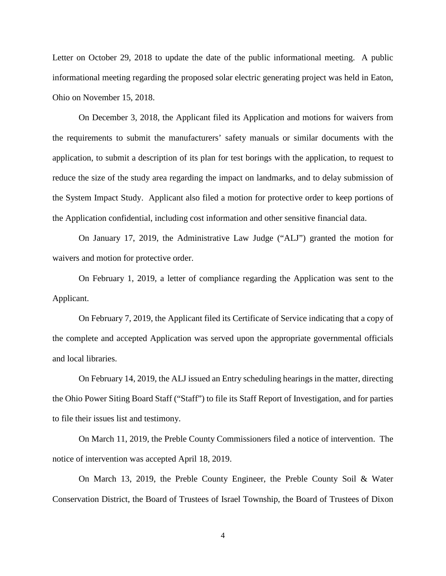Letter on October 29, 2018 to update the date of the public informational meeting. A public informational meeting regarding the proposed solar electric generating project was held in Eaton, Ohio on November 15, 2018.

On December 3, 2018, the Applicant filed its Application and motions for waivers from the requirements to submit the manufacturers' safety manuals or similar documents with the application, to submit a description of its plan for test borings with the application, to request to reduce the size of the study area regarding the impact on landmarks, and to delay submission of the System Impact Study. Applicant also filed a motion for protective order to keep portions of the Application confidential, including cost information and other sensitive financial data.

On January 17, 2019, the Administrative Law Judge ("ALJ") granted the motion for waivers and motion for protective order.

On February 1, 2019, a letter of compliance regarding the Application was sent to the Applicant.

On February 7, 2019, the Applicant filed its Certificate of Service indicating that a copy of the complete and accepted Application was served upon the appropriate governmental officials and local libraries.

On February 14, 2019, the ALJ issued an Entry scheduling hearings in the matter, directing the Ohio Power Siting Board Staff ("Staff") to file its Staff Report of Investigation, and for parties to file their issues list and testimony.

On March 11, 2019, the Preble County Commissioners filed a notice of intervention. The notice of intervention was accepted April 18, 2019.

On March 13, 2019, the Preble County Engineer, the Preble County Soil & Water Conservation District, the Board of Trustees of Israel Township, the Board of Trustees of Dixon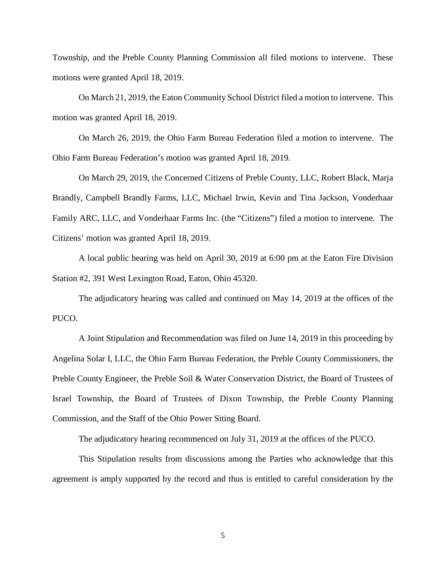Township, and the Preble County Planning Commission all filed motions to intervene. These motions were granted April 18, 2019.

On March 21, 2019, the Eaton Community School District filed a motion to intervene. This motion was granted April 18, 2019.

On March 26, 2019, the Ohio Farm Bureau Federation filed a motion to intervene. The Ohio Farm Bureau Federation's motion was granted April 18, 2019.

On March 29, 2019, the Concerned Citizens of Preble County, LLC, Robert Black, Marja Brandly, Campbell Brandly Farms, LLC, Michael Irwin, Kevin and Tina Jackson, Vonderhaar Family ARC, LLC, and Vonderhaar Farms Inc. (the "Citizens") filed a motion to intervene. The Citizens' motion was granted April 18, 2019.

A local public hearing was held on April 30, 2019 at 6:00 pm at the Eaton Fire Division Station #2, 391 West Lexington Road, Eaton, Ohio 45320.

The adjudicatory hearing was called and continued on May 14, 2019 at the offices of the PUCO.

A Joint Stipulation and Recommendation was filed on June 14, 2019 in this proceeding by Angelina Solar I, LLC, the Ohio Farm Bureau Federation, the Preble County Commissioners, the Preble County Engineer, the Preble Soil & Water Conservation District, the Board of Trustees of Israel Township, the Board of Trustees of Dixon Township, the Preble County Planning Commission, and the Staff of the Ohio Power Siting Board.

The adjudicatory hearing recommenced on July 31, 2019 at the offices of the PUCO.

This Stipulation results from discussions among the Parties who acknowledge that this agreement is amply supported by the record and thus is entitled to careful consideration by the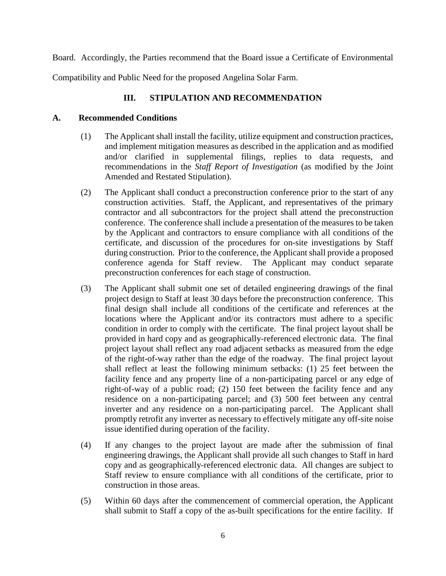Board. Accordingly, the Parties recommend that the Board issue a Certificate of Environmental

Compatibility and Public Need for the proposed Angelina Solar Farm.

# **III. STIPULATION AND RECOMMENDATION**

# **A. Recommended Conditions**

- (1) The Applicant shall install the facility, utilize equipment and construction practices, and implement mitigation measures as described in the application and as modified and/or clarified in supplemental filings, replies to data requests, and recommendations in the *Staff Report of Investigation* (as modified by the Joint Amended and Restated Stipulation).
- (2) The Applicant shall conduct a preconstruction conference prior to the start of any construction activities. Staff, the Applicant, and representatives of the primary contractor and all subcontractors for the project shall attend the preconstruction conference. The conference shall include a presentation of the measures to be taken by the Applicant and contractors to ensure compliance with all conditions of the certificate, and discussion of the procedures for on-site investigations by Staff during construction. Prior to the conference, the Applicant shall provide a proposed conference agenda for Staff review. The Applicant may conduct separate preconstruction conferences for each stage of construction.
- (3) The Applicant shall submit one set of detailed engineering drawings of the final project design to Staff at least 30 days before the preconstruction conference. This final design shall include all conditions of the certificate and references at the locations where the Applicant and/or its contractors must adhere to a specific condition in order to comply with the certificate. The final project layout shall be provided in hard copy and as geographically-referenced electronic data. The final project layout shall reflect any road adjacent setbacks as measured from the edge of the right-of-way rather than the edge of the roadway. The final project layout shall reflect at least the following minimum setbacks: (1) 25 feet between the facility fence and any property line of a non-participating parcel or any edge of right-of-way of a public road; (2) 150 feet between the facility fence and any residence on a non-participating parcel; and (3) 500 feet between any central inverter and any residence on a non-participating parcel. The Applicant shall promptly retrofit any inverter as necessary to effectively mitigate any off-site noise issue identified during operation of the facility.
- (4) If any changes to the project layout are made after the submission of final engineering drawings, the Applicant shall provide all such changes to Staff in hard copy and as geographically-referenced electronic data. All changes are subject to Staff review to ensure compliance with all conditions of the certificate, prior to construction in those areas.
- (5) Within 60 days after the commencement of commercial operation, the Applicant shall submit to Staff a copy of the as-built specifications for the entire facility. If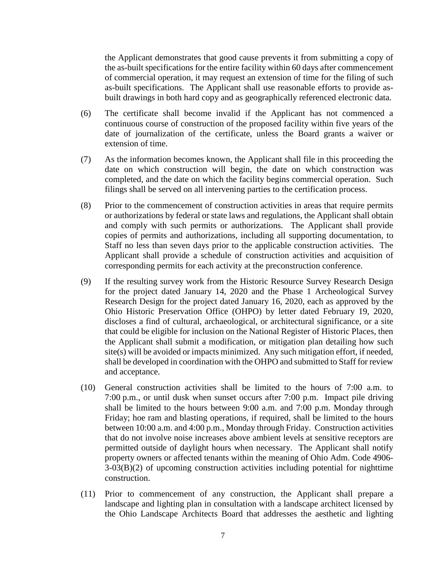the Applicant demonstrates that good cause prevents it from submitting a copy of the as-built specifications for the entire facility within 60 days after commencement of commercial operation, it may request an extension of time for the filing of such as-built specifications. The Applicant shall use reasonable efforts to provide asbuilt drawings in both hard copy and as geographically referenced electronic data.

- (6) The certificate shall become invalid if the Applicant has not commenced a continuous course of construction of the proposed facility within five years of the date of journalization of the certificate, unless the Board grants a waiver or extension of time.
- (7) As the information becomes known, the Applicant shall file in this proceeding the date on which construction will begin, the date on which construction was completed, and the date on which the facility begins commercial operation. Such filings shall be served on all intervening parties to the certification process.
- (8) Prior to the commencement of construction activities in areas that require permits or authorizations by federal or state laws and regulations, the Applicant shall obtain and comply with such permits or authorizations. The Applicant shall provide copies of permits and authorizations, including all supporting documentation, to Staff no less than seven days prior to the applicable construction activities. The Applicant shall provide a schedule of construction activities and acquisition of corresponding permits for each activity at the preconstruction conference.
- (9) If the resulting survey work from the Historic Resource Survey Research Design for the project dated January 14, 2020 and the Phase 1 Archeological Survey Research Design for the project dated January 16, 2020, each as approved by the Ohio Historic Preservation Office (OHPO) by letter dated February 19, 2020, discloses a find of cultural, archaeological, or architectural significance, or a site that could be eligible for inclusion on the National Register of Historic Places, then the Applicant shall submit a modification, or mitigation plan detailing how such site(s) will be avoided or impacts minimized. Any such mitigation effort, if needed, shall be developed in coordination with the OHPO and submitted to Staff for review and acceptance.
- (10) General construction activities shall be limited to the hours of 7:00 a.m. to 7:00 p.m., or until dusk when sunset occurs after 7:00 p.m. Impact pile driving shall be limited to the hours between 9:00 a.m. and 7:00 p.m. Monday through Friday; hoe ram and blasting operations, if required, shall be limited to the hours between 10:00 a.m. and 4:00 p.m., Monday through Friday. Construction activities that do not involve noise increases above ambient levels at sensitive receptors are permitted outside of daylight hours when necessary. The Applicant shall notify property owners or affected tenants within the meaning of Ohio Adm. Code 4906- 3-03(B)(2) of upcoming construction activities including potential for nighttime construction.
- (11) Prior to commencement of any construction, the Applicant shall prepare a landscape and lighting plan in consultation with a landscape architect licensed by the Ohio Landscape Architects Board that addresses the aesthetic and lighting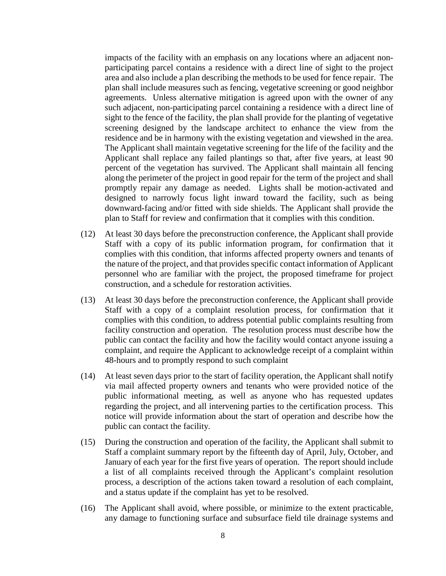impacts of the facility with an emphasis on any locations where an adjacent nonparticipating parcel contains a residence with a direct line of sight to the project area and also include a plan describing the methods to be used for fence repair. The plan shall include measures such as fencing, vegetative screening or good neighbor agreements. Unless alternative mitigation is agreed upon with the owner of any such adjacent, non-participating parcel containing a residence with a direct line of sight to the fence of the facility, the plan shall provide for the planting of vegetative screening designed by the landscape architect to enhance the view from the residence and be in harmony with the existing vegetation and viewshed in the area. The Applicant shall maintain vegetative screening for the life of the facility and the Applicant shall replace any failed plantings so that, after five years, at least 90 percent of the vegetation has survived. The Applicant shall maintain all fencing along the perimeter of the project in good repair for the term of the project and shall promptly repair any damage as needed. Lights shall be motion-activated and designed to narrowly focus light inward toward the facility, such as being downward-facing and/or fitted with side shields. The Applicant shall provide the plan to Staff for review and confirmation that it complies with this condition.

- (12) At least 30 days before the preconstruction conference, the Applicant shall provide Staff with a copy of its public information program, for confirmation that it complies with this condition, that informs affected property owners and tenants of the nature of the project, and that provides specific contact information of Applicant personnel who are familiar with the project, the proposed timeframe for project construction, and a schedule for restoration activities.
- (13) At least 30 days before the preconstruction conference, the Applicant shall provide Staff with a copy of a complaint resolution process, for confirmation that it complies with this condition, to address potential public complaints resulting from facility construction and operation. The resolution process must describe how the public can contact the facility and how the facility would contact anyone issuing a complaint, and require the Applicant to acknowledge receipt of a complaint within 48-hours and to promptly respond to such complaint
- (14) At least seven days prior to the start of facility operation, the Applicant shall notify via mail affected property owners and tenants who were provided notice of the public informational meeting, as well as anyone who has requested updates regarding the project, and all intervening parties to the certification process. This notice will provide information about the start of operation and describe how the public can contact the facility.
- (15) During the construction and operation of the facility, the Applicant shall submit to Staff a complaint summary report by the fifteenth day of April, July, October, and January of each year for the first five years of operation. The report should include a list of all complaints received through the Applicant's complaint resolution process, a description of the actions taken toward a resolution of each complaint, and a status update if the complaint has yet to be resolved.
- (16) The Applicant shall avoid, where possible, or minimize to the extent practicable, any damage to functioning surface and subsurface field tile drainage systems and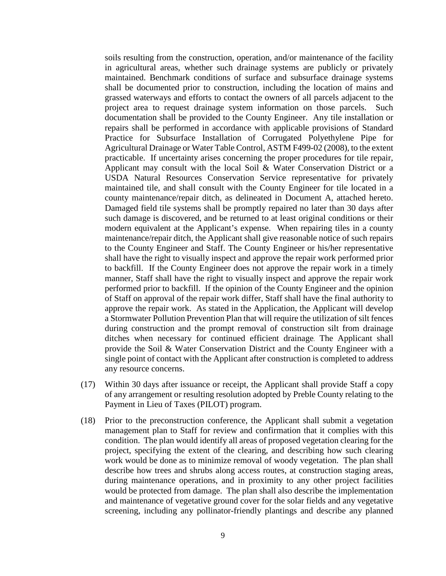soils resulting from the construction, operation, and/or maintenance of the facility in agricultural areas, whether such drainage systems are publicly or privately maintained. Benchmark conditions of surface and subsurface drainage systems shall be documented prior to construction, including the location of mains and grassed waterways and efforts to contact the owners of all parcels adjacent to the project area to request drainage system information on those parcels. Such documentation shall be provided to the County Engineer. Any tile installation or repairs shall be performed in accordance with applicable provisions of Standard Practice for Subsurface Installation of Corrugated Polyethylene Pipe for Agricultural Drainage or Water Table Control, ASTM F499-02 (2008), to the extent practicable. If uncertainty arises concerning the proper procedures for tile repair, Applicant may consult with the local Soil & Water Conservation District or a USDA Natural Resources Conservation Service representative for privately maintained tile, and shall consult with the County Engineer for tile located in a county maintenance/repair ditch, as delineated in Document A, attached hereto. Damaged field tile systems shall be promptly repaired no later than 30 days after such damage is discovered, and be returned to at least original conditions or their modern equivalent at the Applicant's expense. When repairing tiles in a county maintenance/repair ditch, the Applicant shall give reasonable notice of such repairs to the County Engineer and Staff. The County Engineer or his/her representative shall have the right to visually inspect and approve the repair work performed prior to backfill. If the County Engineer does not approve the repair work in a timely manner, Staff shall have the right to visually inspect and approve the repair work performed prior to backfill. If the opinion of the County Engineer and the opinion of Staff on approval of the repair work differ, Staff shall have the final authority to approve the repair work. As stated in the Application, the Applicant will develop a Stormwater Pollution Prevention Plan that will require the utilization of silt fences during construction and the prompt removal of construction silt from drainage ditches when necessary for continued efficient drainage. The Applicant shall provide the Soil & Water Conservation District and the County Engineer with a single point of contact with the Applicant after construction is completed to address any resource concerns.

- (17) Within 30 days after issuance or receipt, the Applicant shall provide Staff a copy of any arrangement or resulting resolution adopted by Preble County relating to the Payment in Lieu of Taxes (PILOT) program.
- (18) Prior to the preconstruction conference, the Applicant shall submit a vegetation management plan to Staff for review and confirmation that it complies with this condition. The plan would identify all areas of proposed vegetation clearing for the project, specifying the extent of the clearing, and describing how such clearing work would be done as to minimize removal of woody vegetation. The plan shall describe how trees and shrubs along access routes, at construction staging areas, during maintenance operations, and in proximity to any other project facilities would be protected from damage. The plan shall also describe the implementation and maintenance of vegetative ground cover for the solar fields and any vegetative screening, including any pollinator-friendly plantings and describe any planned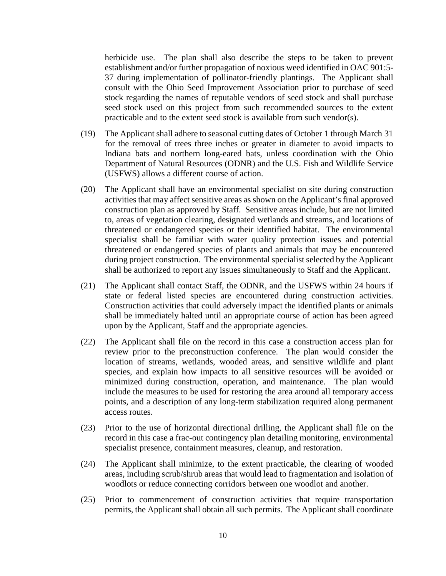herbicide use. The plan shall also describe the steps to be taken to prevent establishment and/or further propagation of noxious weed identified in OAC 901:5- 37 during implementation of pollinator-friendly plantings. The Applicant shall consult with the Ohio Seed Improvement Association prior to purchase of seed stock regarding the names of reputable vendors of seed stock and shall purchase seed stock used on this project from such recommended sources to the extent practicable and to the extent seed stock is available from such vendor(s).

- (19) The Applicant shall adhere to seasonal cutting dates of October 1 through March 31 for the removal of trees three inches or greater in diameter to avoid impacts to Indiana bats and northern long-eared bats, unless coordination with the Ohio Department of Natural Resources (ODNR) and the U.S. Fish and Wildlife Service (USFWS) allows a different course of action.
- (20) The Applicant shall have an environmental specialist on site during construction activities that may affect sensitive areas as shown on the Applicant's final approved construction plan as approved by Staff. Sensitive areas include, but are not limited to, areas of vegetation clearing, designated wetlands and streams, and locations of threatened or endangered species or their identified habitat. The environmental specialist shall be familiar with water quality protection issues and potential threatened or endangered species of plants and animals that may be encountered during project construction. The environmental specialist selected by the Applicant shall be authorized to report any issues simultaneously to Staff and the Applicant.
- (21) The Applicant shall contact Staff, the ODNR, and the USFWS within 24 hours if state or federal listed species are encountered during construction activities. Construction activities that could adversely impact the identified plants or animals shall be immediately halted until an appropriate course of action has been agreed upon by the Applicant, Staff and the appropriate agencies.
- (22) The Applicant shall file on the record in this case a construction access plan for review prior to the preconstruction conference. The plan would consider the location of streams, wetlands, wooded areas, and sensitive wildlife and plant species, and explain how impacts to all sensitive resources will be avoided or minimized during construction, operation, and maintenance. The plan would include the measures to be used for restoring the area around all temporary access points, and a description of any long-term stabilization required along permanent access routes.
- (23) Prior to the use of horizontal directional drilling, the Applicant shall file on the record in this case a frac-out contingency plan detailing monitoring, environmental specialist presence, containment measures, cleanup, and restoration.
- (24) The Applicant shall minimize, to the extent practicable, the clearing of wooded areas, including scrub/shrub areas that would lead to fragmentation and isolation of woodlots or reduce connecting corridors between one woodlot and another.
- (25) Prior to commencement of construction activities that require transportation permits, the Applicant shall obtain all such permits. The Applicant shall coordinate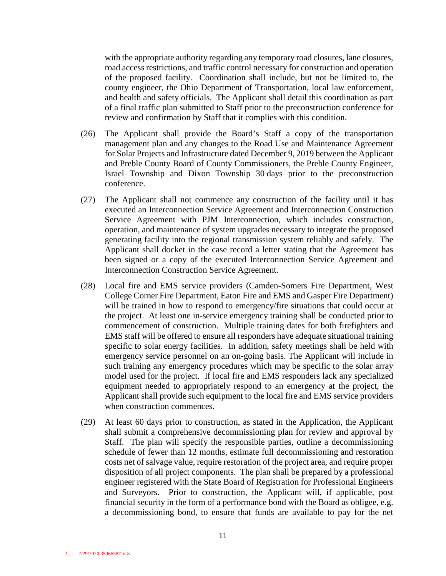with the appropriate authority regarding any temporary road closures, lane closures, road access restrictions, and traffic control necessary for construction and operation of the proposed facility. Coordination shall include, but not be limited to, the county engineer, the Ohio Department of Transportation, local law enforcement, and health and safety officials. The Applicant shall detail this coordination as part of a final traffic plan submitted to Staff prior to the preconstruction conference for review and confirmation by Staff that it complies with this condition.

- (26) The Applicant shall provide the Board's Staff a copy of the transportation management plan and any changes to the Road Use and Maintenance Agreement for Solar Projects and Infrastructure dated December 9, 2019 between the Applicant and Preble County Board of County Commissioners, the Preble County Engineer, Israel Township and Dixon Township 30 days prior to the preconstruction conference.
- (27) The Applicant shall not commence any construction of the facility until it has executed an Interconnection Service Agreement and Interconnection Construction Service Agreement with PJM Interconnection, which includes construction, operation, and maintenance of system upgrades necessary to integrate the proposed generating facility into the regional transmission system reliably and safely. The Applicant shall docket in the case record a letter stating that the Agreement has been signed or a copy of the executed Interconnection Service Agreement and Interconnection Construction Service Agreement.
- (28) Local fire and EMS service providers (Camden-Somers Fire Department, West College Corner Fire Department, Eaton Fire and EMS and Gasper Fire Department) will be trained in how to respond to emergency/fire situations that could occur at the project. At least one in-service emergency training shall be conducted prior to commencement of construction. Multiple training dates for both firefighters and EMS staff will be offered to ensure all responders have adequate situational training specific to solar energy facilities. In addition, safety meetings shall be held with emergency service personnel on an on-going basis. The Applicant will include in such training any emergency procedures which may be specific to the solar array model used for the project. If local fire and EMS responders lack any specialized equipment needed to appropriately respond to an emergency at the project, the Applicant shall provide such equipment to the local fire and EMS service providers when construction commences.
- (29) At least 60 days prior to construction, as stated in the Application, the Applicant shall submit a comprehensive decommissioning plan for review and approval by Staff. The plan will specify the responsible parties, outline a decommissioning schedule of fewer than 12 months, estimate full decommissioning and restoration costs net of salvage value, require restoration of the project area, and require proper disposition of all project components. The plan shall be prepared by a professional engineer registered with the State Board of Registration for Professional Engineers and Surveyors. Prior to construction, the Applicant will, if applicable, post financial security in the form of a performance bond with the Board as obligee, e.g. a decommissioning bond, to ensure that funds are available to pay for the net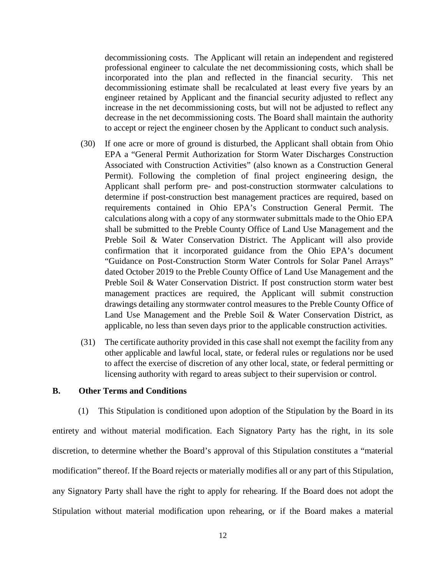decommissioning costs. The Applicant will retain an independent and registered professional engineer to calculate the net decommissioning costs, which shall be incorporated into the plan and reflected in the financial security. This net decommissioning estimate shall be recalculated at least every five years by an engineer retained by Applicant and the financial security adjusted to reflect any increase in the net decommissioning costs, but will not be adjusted to reflect any decrease in the net decommissioning costs. The Board shall maintain the authority to accept or reject the engineer chosen by the Applicant to conduct such analysis.

- (30) If one acre or more of ground is disturbed, the Applicant shall obtain from Ohio EPA a "General Permit Authorization for Storm Water Discharges Construction Associated with Construction Activities" (also known as a Construction General Permit). Following the completion of final project engineering design, the Applicant shall perform pre- and post-construction stormwater calculations to determine if post-construction best management practices are required, based on requirements contained in Ohio EPA's Construction General Permit. The calculations along with a copy of any stormwater submittals made to the Ohio EPA shall be submitted to the Preble County Office of Land Use Management and the Preble Soil & Water Conservation District. The Applicant will also provide confirmation that it incorporated guidance from the Ohio EPA's document "Guidance on Post-Construction Storm Water Controls for Solar Panel Arrays" dated October 2019 to the Preble County Office of Land Use Management and the Preble Soil & Water Conservation District. If post construction storm water best management practices are required, the Applicant will submit construction drawings detailing any stormwater control measures to the Preble County Office of Land Use Management and the Preble Soil & Water Conservation District, as applicable, no less than seven days prior to the applicable construction activities.
- (31) The certificate authority provided in this case shall not exempt the facility from any other applicable and lawful local, state, or federal rules or regulations nor be used to affect the exercise of discretion of any other local, state, or federal permitting or licensing authority with regard to areas subject to their supervision or control.

### **B. Other Terms and Conditions**

(1) This Stipulation is conditioned upon adoption of the Stipulation by the Board in its entirety and without material modification. Each Signatory Party has the right, in its sole discretion, to determine whether the Board's approval of this Stipulation constitutes a "material modification" thereof. If the Board rejects or materially modifies all or any part of this Stipulation, any Signatory Party shall have the right to apply for rehearing. If the Board does not adopt the Stipulation without material modification upon rehearing, or if the Board makes a material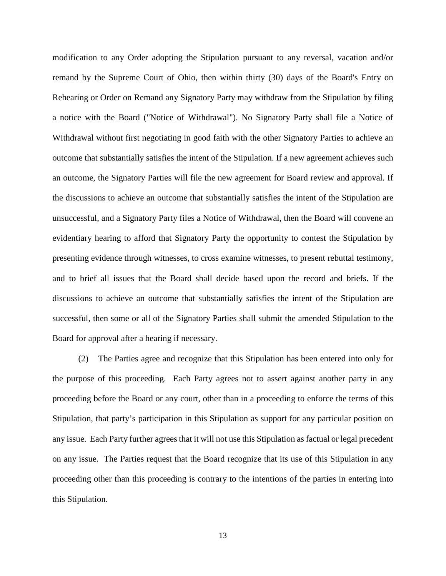modification to any Order adopting the Stipulation pursuant to any reversal, vacation and/or remand by the Supreme Court of Ohio, then within thirty (30) days of the Board's Entry on Rehearing or Order on Remand any Signatory Party may withdraw from the Stipulation by filing a notice with the Board ("Notice of Withdrawal"). No Signatory Party shall file a Notice of Withdrawal without first negotiating in good faith with the other Signatory Parties to achieve an outcome that substantially satisfies the intent of the Stipulation. If a new agreement achieves such an outcome, the Signatory Parties will file the new agreement for Board review and approval. If the discussions to achieve an outcome that substantially satisfies the intent of the Stipulation are unsuccessful, and a Signatory Party files a Notice of Withdrawal, then the Board will convene an evidentiary hearing to afford that Signatory Party the opportunity to contest the Stipulation by presenting evidence through witnesses, to cross examine witnesses, to present rebuttal testimony, and to brief all issues that the Board shall decide based upon the record and briefs. If the discussions to achieve an outcome that substantially satisfies the intent of the Stipulation are successful, then some or all of the Signatory Parties shall submit the amended Stipulation to the Board for approval after a hearing if necessary.

(2) The Parties agree and recognize that this Stipulation has been entered into only for the purpose of this proceeding. Each Party agrees not to assert against another party in any proceeding before the Board or any court, other than in a proceeding to enforce the terms of this Stipulation, that party's participation in this Stipulation as support for any particular position on any issue. Each Party further agrees that it will not use this Stipulation as factual or legal precedent on any issue. The Parties request that the Board recognize that its use of this Stipulation in any proceeding other than this proceeding is contrary to the intentions of the parties in entering into this Stipulation.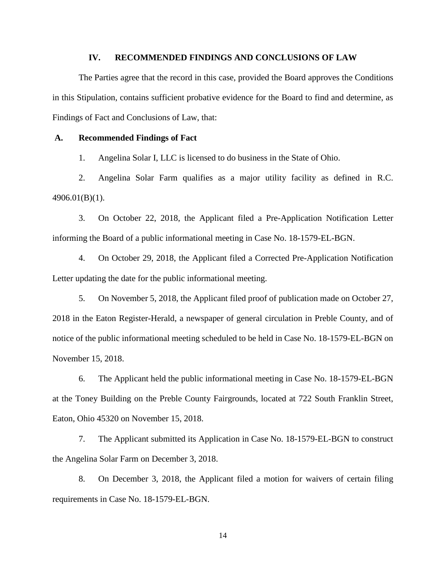## **IV. RECOMMENDED FINDINGS AND CONCLUSIONS OF LAW**

The Parties agree that the record in this case, provided the Board approves the Conditions in this Stipulation, contains sufficient probative evidence for the Board to find and determine, as Findings of Fact and Conclusions of Law, that:

### **A. Recommended Findings of Fact**

1. Angelina Solar I, LLC is licensed to do business in the State of Ohio.

2. Angelina Solar Farm qualifies as a major utility facility as defined in R.C. 4906.01(B)(1).

3. On October 22, 2018, the Applicant filed a Pre-Application Notification Letter informing the Board of a public informational meeting in Case No. 18-1579-EL-BGN.

4. On October 29, 2018, the Applicant filed a Corrected Pre-Application Notification Letter updating the date for the public informational meeting.

5. On November 5, 2018, the Applicant filed proof of publication made on October 27, 2018 in the Eaton Register-Herald, a newspaper of general circulation in Preble County, and of notice of the public informational meeting scheduled to be held in Case No. 18-1579-EL-BGN on November 15, 2018.

6. The Applicant held the public informational meeting in Case No. 18-1579-EL-BGN at the Toney Building on the Preble County Fairgrounds, located at 722 South Franklin Street, Eaton, Ohio 45320 on November 15, 2018.

7. The Applicant submitted its Application in Case No. 18-1579-EL-BGN to construct the Angelina Solar Farm on December 3, 2018.

8. On December 3, 2018, the Applicant filed a motion for waivers of certain filing requirements in Case No. 18-1579-EL-BGN.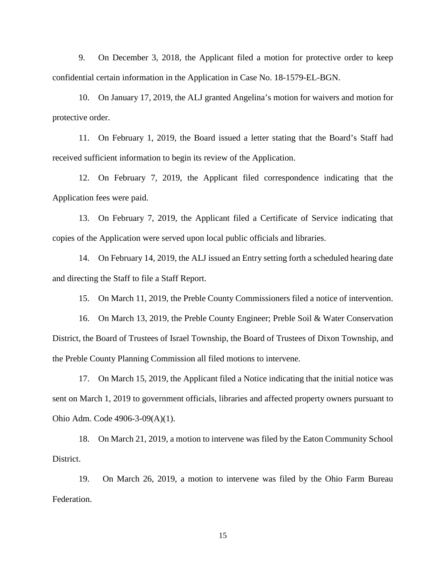9. On December 3, 2018, the Applicant filed a motion for protective order to keep confidential certain information in the Application in Case No. 18-1579-EL-BGN.

10. On January 17, 2019, the ALJ granted Angelina's motion for waivers and motion for protective order.

11. On February 1, 2019, the Board issued a letter stating that the Board's Staff had received sufficient information to begin its review of the Application.

12. On February 7, 2019, the Applicant filed correspondence indicating that the Application fees were paid.

13. On February 7, 2019, the Applicant filed a Certificate of Service indicating that copies of the Application were served upon local public officials and libraries.

14. On February 14, 2019, the ALJ issued an Entry setting forth a scheduled hearing date and directing the Staff to file a Staff Report.

15. On March 11, 2019, the Preble County Commissioners filed a notice of intervention.

16. On March 13, 2019, the Preble County Engineer; Preble Soil & Water Conservation District, the Board of Trustees of Israel Township, the Board of Trustees of Dixon Township, and the Preble County Planning Commission all filed motions to intervene.

17. On March 15, 2019, the Applicant filed a Notice indicating that the initial notice was sent on March 1, 2019 to government officials, libraries and affected property owners pursuant to Ohio Adm. Code 4906-3-09(A)(1).

18. On March 21, 2019, a motion to intervene was filed by the Eaton Community School District.

19. On March 26, 2019, a motion to intervene was filed by the Ohio Farm Bureau Federation.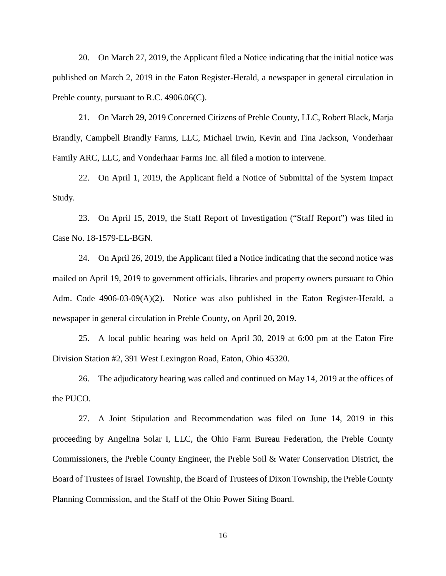20. On March 27, 2019, the Applicant filed a Notice indicating that the initial notice was published on March 2, 2019 in the Eaton Register-Herald, a newspaper in general circulation in Preble county, pursuant to R.C. 4906.06(C).

21. On March 29, 2019 Concerned Citizens of Preble County, LLC, Robert Black, Marja Brandly, Campbell Brandly Farms, LLC, Michael Irwin, Kevin and Tina Jackson, Vonderhaar Family ARC, LLC, and Vonderhaar Farms Inc. all filed a motion to intervene.

22. On April 1, 2019, the Applicant field a Notice of Submittal of the System Impact Study.

23. On April 15, 2019, the Staff Report of Investigation ("Staff Report") was filed in Case No. 18-1579-EL-BGN.

24. On April 26, 2019, the Applicant filed a Notice indicating that the second notice was mailed on April 19, 2019 to government officials, libraries and property owners pursuant to Ohio Adm. Code 4906-03-09(A)(2). Notice was also published in the Eaton Register-Herald, a newspaper in general circulation in Preble County, on April 20, 2019.

25. A local public hearing was held on April 30, 2019 at 6:00 pm at the Eaton Fire Division Station #2, 391 West Lexington Road, Eaton, Ohio 45320.

26. The adjudicatory hearing was called and continued on May 14, 2019 at the offices of the PUCO.

27. A Joint Stipulation and Recommendation was filed on June 14, 2019 in this proceeding by Angelina Solar I, LLC, the Ohio Farm Bureau Federation, the Preble County Commissioners, the Preble County Engineer, the Preble Soil & Water Conservation District, the Board of Trustees of Israel Township, the Board of Trustees of Dixon Township, the Preble County Planning Commission, and the Staff of the Ohio Power Siting Board.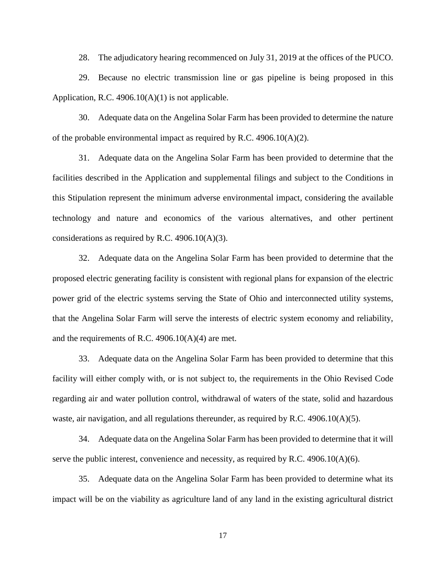28. The adjudicatory hearing recommenced on July 31, 2019 at the offices of the PUCO.

29. Because no electric transmission line or gas pipeline is being proposed in this Application, R.C.  $4906.10(A)(1)$  is not applicable.

30. Adequate data on the Angelina Solar Farm has been provided to determine the nature of the probable environmental impact as required by R.C.  $4906.10(A)(2)$ .

31. Adequate data on the Angelina Solar Farm has been provided to determine that the facilities described in the Application and supplemental filings and subject to the Conditions in this Stipulation represent the minimum adverse environmental impact, considering the available technology and nature and economics of the various alternatives, and other pertinent considerations as required by R.C. 4906.10(A)(3).

32. Adequate data on the Angelina Solar Farm has been provided to determine that the proposed electric generating facility is consistent with regional plans for expansion of the electric power grid of the electric systems serving the State of Ohio and interconnected utility systems, that the Angelina Solar Farm will serve the interests of electric system economy and reliability, and the requirements of R.C. 4906.10(A)(4) are met.

33. Adequate data on the Angelina Solar Farm has been provided to determine that this facility will either comply with, or is not subject to, the requirements in the Ohio Revised Code regarding air and water pollution control, withdrawal of waters of the state, solid and hazardous waste, air navigation, and all regulations thereunder, as required by R.C.  $4906.10(A)(5)$ .

34. Adequate data on the Angelina Solar Farm has been provided to determine that it will serve the public interest, convenience and necessity, as required by R.C. 4906.10(A)(6).

35. Adequate data on the Angelina Solar Farm has been provided to determine what its impact will be on the viability as agriculture land of any land in the existing agricultural district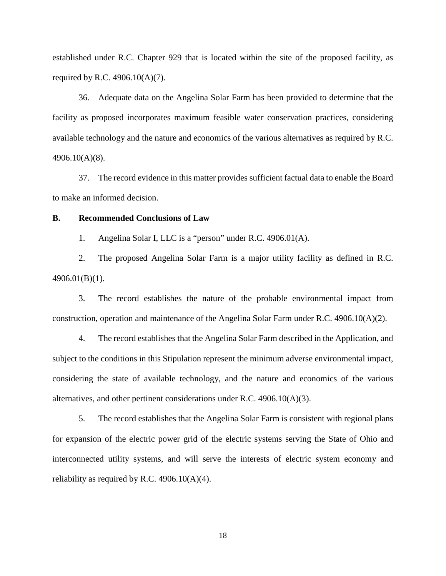established under R.C. Chapter 929 that is located within the site of the proposed facility, as required by R.C. 4906.10(A)(7).

36. Adequate data on the Angelina Solar Farm has been provided to determine that the facility as proposed incorporates maximum feasible water conservation practices, considering available technology and the nature and economics of the various alternatives as required by R.C. 4906.10(A)(8).

37. The record evidence in this matter provides sufficient factual data to enable the Board to make an informed decision.

### **B. Recommended Conclusions of Law**

1. Angelina Solar I, LLC is a "person" under R.C. 4906.01(A).

2. The proposed Angelina Solar Farm is a major utility facility as defined in R.C. 4906.01(B)(1).

3. The record establishes the nature of the probable environmental impact from construction, operation and maintenance of the Angelina Solar Farm under R.C. 4906.10(A)(2).

4. The record establishes that the Angelina Solar Farm described in the Application, and subject to the conditions in this Stipulation represent the minimum adverse environmental impact, considering the state of available technology, and the nature and economics of the various alternatives, and other pertinent considerations under R.C. 4906.10(A)(3).

5. The record establishes that the Angelina Solar Farm is consistent with regional plans for expansion of the electric power grid of the electric systems serving the State of Ohio and interconnected utility systems, and will serve the interests of electric system economy and reliability as required by R.C.  $4906.10(A)(4)$ .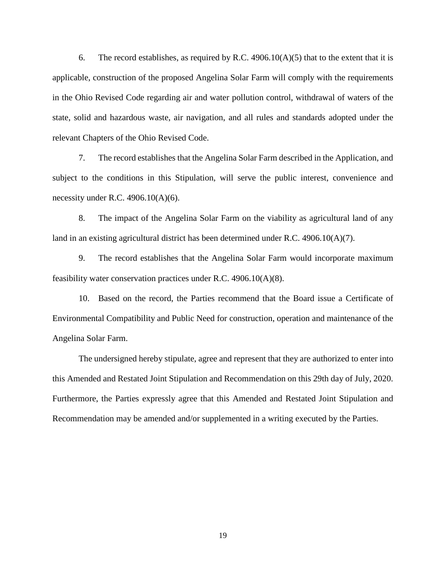6. The record establishes, as required by R.C.  $4906.10(A)(5)$  that to the extent that it is applicable, construction of the proposed Angelina Solar Farm will comply with the requirements in the Ohio Revised Code regarding air and water pollution control, withdrawal of waters of the state, solid and hazardous waste, air navigation, and all rules and standards adopted under the relevant Chapters of the Ohio Revised Code.

7. The record establishes that the Angelina Solar Farm described in the Application, and subject to the conditions in this Stipulation, will serve the public interest, convenience and necessity under R.C.  $4906.10(A)(6)$ .

8. The impact of the Angelina Solar Farm on the viability as agricultural land of any land in an existing agricultural district has been determined under R.C. 4906.10(A)(7).

9. The record establishes that the Angelina Solar Farm would incorporate maximum feasibility water conservation practices under R.C. 4906.10(A)(8).

10. Based on the record, the Parties recommend that the Board issue a Certificate of Environmental Compatibility and Public Need for construction, operation and maintenance of the Angelina Solar Farm.

The undersigned hereby stipulate, agree and represent that they are authorized to enter into this Amended and Restated Joint Stipulation and Recommendation on this 29th day of July, 2020. Furthermore, the Parties expressly agree that this Amended and Restated Joint Stipulation and Recommendation may be amended and/or supplemented in a writing executed by the Parties.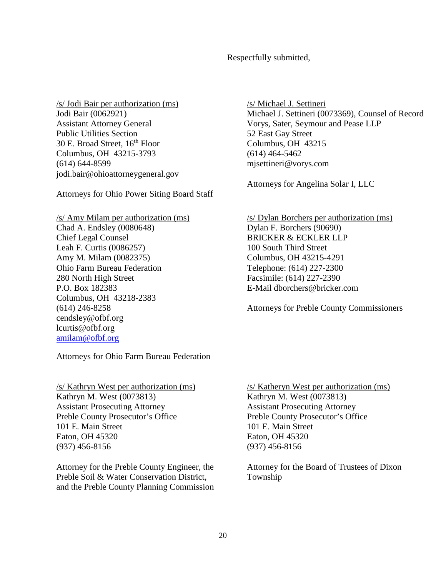Respectfully submitted,

/s/ Jodi Bair per authorization (ms) Jodi Bair (0062921) Assistant Attorney General Public Utilities Section 30 E. Broad Street, 16<sup>th</sup> Floor Columbus, OH 43215-3793 (614) 644-8599 jodi.bair@ohioattorneygeneral.gov

Attorneys for Ohio Power Siting Board Staff

/s/ Amy Milam per authorization (ms) Chad A. Endsley (0080648) Chief Legal Counsel Leah F. Curtis (0086257) Amy M. Milam (0082375) Ohio Farm Bureau Federation 280 North High Street P.O. Box 182383 Columbus, OH 43218-2383 (614) 246-8258 cendsley@ofbf.org lcurtis@ofbf.org amilam@ofbf.org

Attorneys for Ohio Farm Bureau Federation

/s/ Kathryn West per authorization (ms) Kathryn M. West (0073813) Assistant Prosecuting Attorney Preble County Prosecutor's Office 101 E. Main Street Eaton, OH 45320 (937) 456-8156

Attorney for the Preble County Engineer, the Preble Soil & Water Conservation District, and the Preble County Planning Commission /s/ Michael J. Settineri Michael J. Settineri (0073369), Counsel of Record Vorys, Sater, Seymour and Pease LLP 52 East Gay Street Columbus, OH 43215 (614) 464-5462 mjsettineri@vorys.com

Attorneys for Angelina Solar I, LLC

/s/ Dylan Borchers per authorization (ms) Dylan F. Borchers (90690) BRICKER & ECKLER LLP 100 South Third Street Columbus, OH 43215-4291 Telephone: (614) 227-2300 Facsimile: (614) 227-2390 E-Mail dborchers@bricker.com

Attorneys for Preble County Commissioners

/s/ Katheryn West per authorization (ms) Kathryn M. West (0073813) Assistant Prosecuting Attorney Preble County Prosecutor's Office 101 E. Main Street Eaton, OH 45320 (937) 456-8156

Attorney for the Board of Trustees of Dixon Township